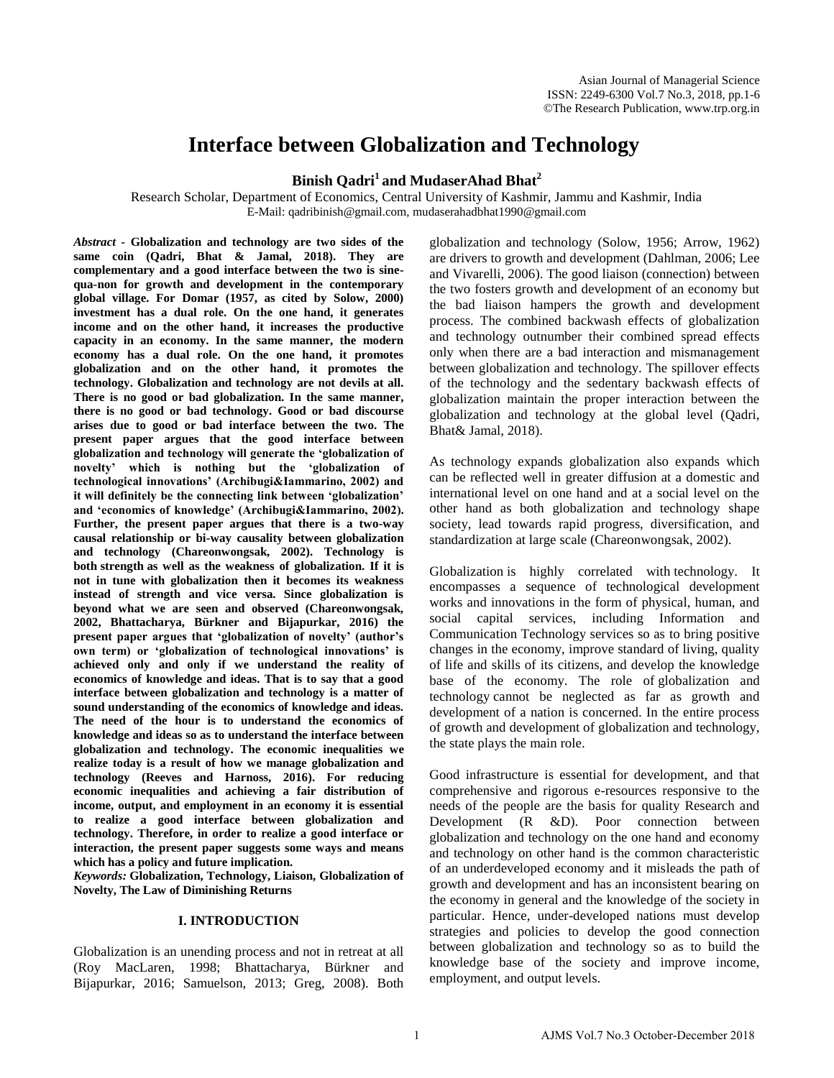# **Interface between Globalization and Technology**

## **Binish Qadri<sup>1</sup> and MudaserAhad Bhat<sup>2</sup>**

Research Scholar, Department of Economics, Central University of Kashmir, Jammu and Kashmir, India E-Mail[: qadribinish@gmail.com,](mailto:qadribinish@gmail.com) [mudaserahadbhat1990@gmail.com](mailto:mudaserahadbhat1990@gmail.com)

*Abstract -* **Globalization and technology are two sides of the same coin (Qadri, Bhat & Jamal, 2018). They are complementary and a good interface between the two is sinequa-non for growth and development in the contemporary global village. For Domar (1957, as cited by Solow, 2000) investment has a dual role. On the one hand, it generates income and on the other hand, it increases the productive capacity in an economy. In the same manner, the modern economy has a dual role. On the one hand, it promotes globalization and on the other hand, it promotes the technology. Globalization and technology are not devils at all. There is no good or bad globalization. In the same manner, there is no good or bad technology. Good or bad discourse arises due to good or bad interface between the two. The present paper argues that the good interface between globalization and technology will generate the 'globalization of novelty' which is nothing but the 'globalization of technological innovations' (Archibugi&Iammarino, 2002) and it will definitely be the connecting link between 'globalization' and 'economics of knowledge' (Archibugi&Iammarino, 2002). Further, the present paper argues that there is a two-way causal relationship or bi-way causality between globalization and technology (Chareonwongsak, 2002). Technology is both strength as well as the weakness of globalization. If it is not in tune with globalization then it becomes its weakness instead of strength and vice versa. Since globalization is beyond what we are seen and observed (Chareonwongsak, 2002, Bhattacharya, Bürkner and Bijapurkar, 2016) the present paper argues that 'globalization of novelty' (author's own term) or 'globalization of technological innovations' is achieved only and only if we understand the reality of economics of knowledge and ideas. That is to say that a good interface between globalization and technology is a matter of sound understanding of the economics of knowledge and ideas. The need of the hour is to understand the economics of knowledge and ideas so as to understand the interface between globalization and technology. The economic inequalities we realize today is a result of how we manage globalization and technology (Reeves and Harnoss, 2016). For reducing economic inequalities and achieving a fair distribution of income, output, and employment in an economy it is essential to realize a good interface between globalization and technology. Therefore, in order to realize a good interface or interaction, the present paper suggests some ways and means which has a policy and future implication.** 

*Keywords:* **Globalization, Technology, Liaison, Globalization of Novelty, The Law of Diminishing Returns** 

## **I. INTRODUCTION**

Globalization is an unending process and not in retreat at all (Roy MacLaren, 1998; Bhattacharya, Bürkner and Bijapurkar, 2016; Samuelson, 2013; Greg, 2008). Both

globalization and technology (Solow, 1956; Arrow, 1962) are drivers to growth and development (Dahlman, 2006; Lee and Vivarelli, 2006). The good liaison (connection) between the two fosters growth and development of an economy but the bad liaison hampers the growth and development process. The combined backwash effects of globalization and technology outnumber their combined spread effects only when there are a bad interaction and mismanagement between globalization and technology. The spillover effects of the technology and the sedentary backwash effects of globalization maintain the proper interaction between the globalization and technology at the global level (Qadri, Bhat& Jamal, 2018).

As technology expands globalization also expands which can be reflected well in greater diffusion at a domestic and international level on one hand and at a social level on the other hand as both globalization and technology shape society, lead towards rapid progress, diversification, and standardization at large scale (Chareonwongsak, 2002).

Globalization is highly correlated with technology. It encompasses a sequence of technological development works and innovations in the form of physical, human, and social capital services, including Information and Communication Technology services so as to bring positive changes in the economy, improve standard of living, quality of life and skills of its citizens, and develop the knowledge base of the economy. The role of globalization and technology cannot be neglected as far as growth and development of a nation is concerned. In the entire process of growth and development of globalization and technology, the state plays the main role.

Good infrastructure is essential for development, and that comprehensive and rigorous e-resources responsive to the needs of the people are the basis for quality Research and Development (R &D). Poor connection between globalization and technology on the one hand and economy and technology on other hand is the common characteristic of an underdeveloped economy and it misleads the path of growth and development and has an inconsistent bearing on the economy in general and the knowledge of the society in particular. Hence, under-developed nations must develop strategies and policies to develop the good connection between globalization and technology so as to build the knowledge base of the society and improve income, employment, and output levels.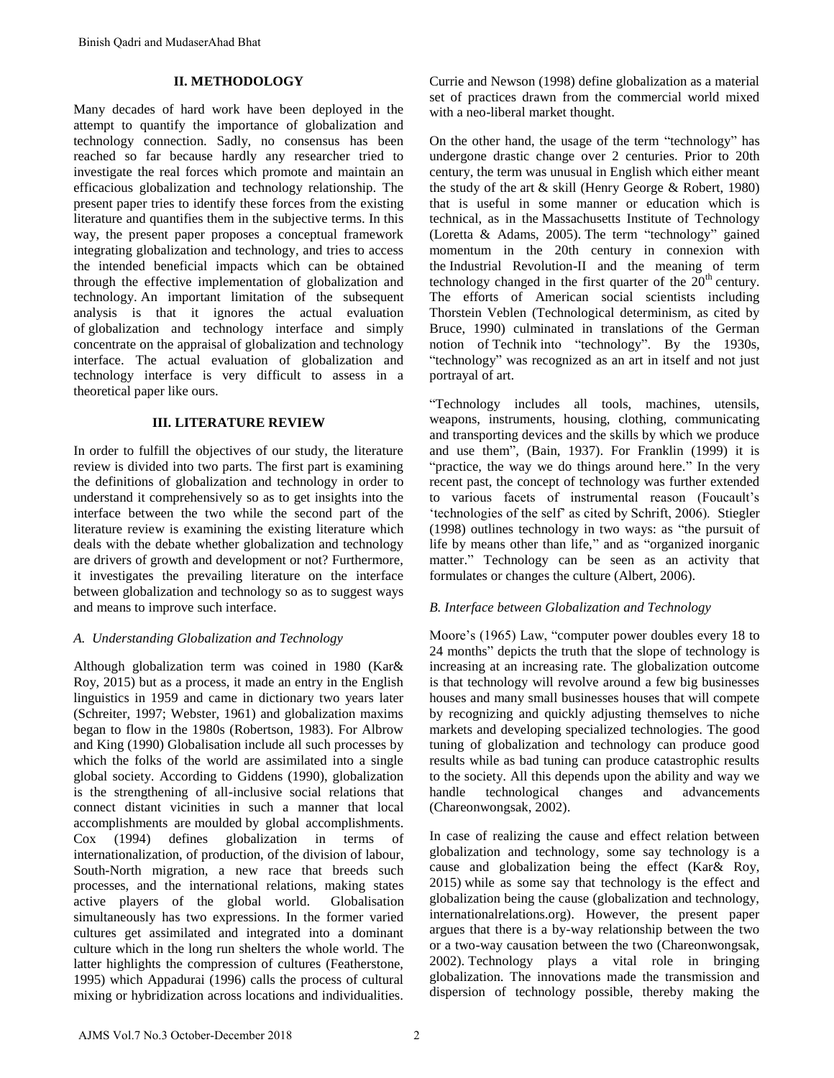## **II. METHODOLOGY**

Many decades of hard work have been deployed in the attempt to quantify the importance of globalization and technology connection. Sadly, no consensus has been reached so far because hardly any researcher tried to investigate the real forces which promote and maintain an efficacious globalization and technology relationship. The present paper tries to identify these forces from the existing literature and quantifies them in the subjective terms. In this way, the present paper proposes a conceptual framework integrating globalization and technology, and tries to access the intended beneficial impacts which can be obtained through the effective implementation of globalization and technology. An important limitation of the subsequent analysis is that it ignores the actual evaluation of globalization and technology interface and simply concentrate on the appraisal of globalization and technology interface. The actual evaluation of globalization and technology interface is very difficult to assess in a theoretical paper like ours.

## **III. LITERATURE REVIEW**

In order to fulfill the objectives of our study, the literature review is divided into two parts. The first part is examining the definitions of globalization and technology in order to understand it comprehensively so as to get insights into the interface between the two while the second part of the literature review is examining the existing literature which deals with the debate whether globalization and technology are drivers of growth and development or not? Furthermore, it investigates the prevailing literature on the interface between globalization and technology so as to suggest ways and means to improve such interface.

## *A. Understanding Globalization and Technology*

Although globalization term was coined in 1980 (Kar& Roy, 2015) but as a process, it made an entry in the English linguistics in 1959 and came in dictionary two years later (Schreiter, 1997; Webster, 1961) and globalization maxims began to flow in the 1980s (Robertson, 1983). For Albrow and King (1990) Globalisation include all such processes by which the folks of the world are assimilated into a single global society. According to Giddens (1990), globalization is the strengthening of all-inclusive social relations that connect distant vicinities in such a manner that local accomplishments are moulded by global accomplishments. Cox (1994) defines globalization in terms of internationalization, of production, of the division of labour, South-North migration, a new race that breeds such processes, and the international relations, making states active players of the global world. Globalisation simultaneously has two expressions. In the former varied cultures get assimilated and integrated into a dominant culture which in the long run shelters the whole world. The latter highlights the compression of cultures (Featherstone, 1995) which Appadurai (1996) calls the process of cultural mixing or hybridization across locations and individualities.

Currie and Newson (1998) define globalization as a material set of practices drawn from the commercial world mixed with a neo-liberal market thought.

On the other hand, the usage of the term "technology" has undergone drastic change over 2 centuries. Prior to 20th century, the term was unusual in English which either meant the study of the art & skill (Henry George & Robert, 1980) that is useful in some manner or education which is technical, as in the Massachusetts Institute of Technology (Loretta & Adams, 2005). The term "technology" gained momentum in the 20th century in connexion with the Industrial Revolution-II and the meaning of term technology changed in the first quarter of the  $20<sup>th</sup>$  century. The efforts of American social scientists including Thorstein Veblen (Technological determinism, as cited by Bruce, 1990) culminated in translations of the German notion of Technik into "technology". By the 1930s, "technology" was recognized as an art in itself and not just portrayal of art.

"Technology includes all tools, machines, utensils, weapons, instruments, housing, clothing, communicating and transporting devices and the skills by which we produce and use them", (Bain, 1937). For Franklin (1999) it is "practice, the way we do things around here." In the very recent past, the concept of technology was further extended to various facets of instrumental reason (Foucault's "technologies of the self" as cited by Schrift, 2006). Stiegler (1998) outlines technology in two ways: as "the pursuit of life by means other than life," and as "organized inorganic matter." Technology can be seen as an activity that formulates or changes the culture (Albert, 2006).

## *B. Interface between Globalization and Technology*

Moore"s (1965) Law, "computer power doubles every 18 to 24 months" depicts the truth that the slope of technology is increasing at an increasing rate. The globalization outcome is that technology will revolve around a few big businesses houses and many small businesses houses that will compete by recognizing and quickly adjusting themselves to niche markets and developing specialized technologies. The good tuning of globalization and technology can produce good results while as bad tuning can produce catastrophic results to the society. All this depends upon the ability and way we handle technological changes and advancements (Chareonwongsak, 2002).

In case of realizing the cause and effect relation between globalization and technology, some say technology is a cause and globalization being the effect (Kar& Roy, 2015) while as some say that technology is the effect and globalization being the cause (globalization and technology, internationalrelations.org). However, the present paper argues that there is a by-way relationship between the two or a two-way causation between the two (Chareonwongsak, 2002). Technology plays a vital role in bringing globalization. The innovations made the transmission and dispersion of technology possible, thereby making the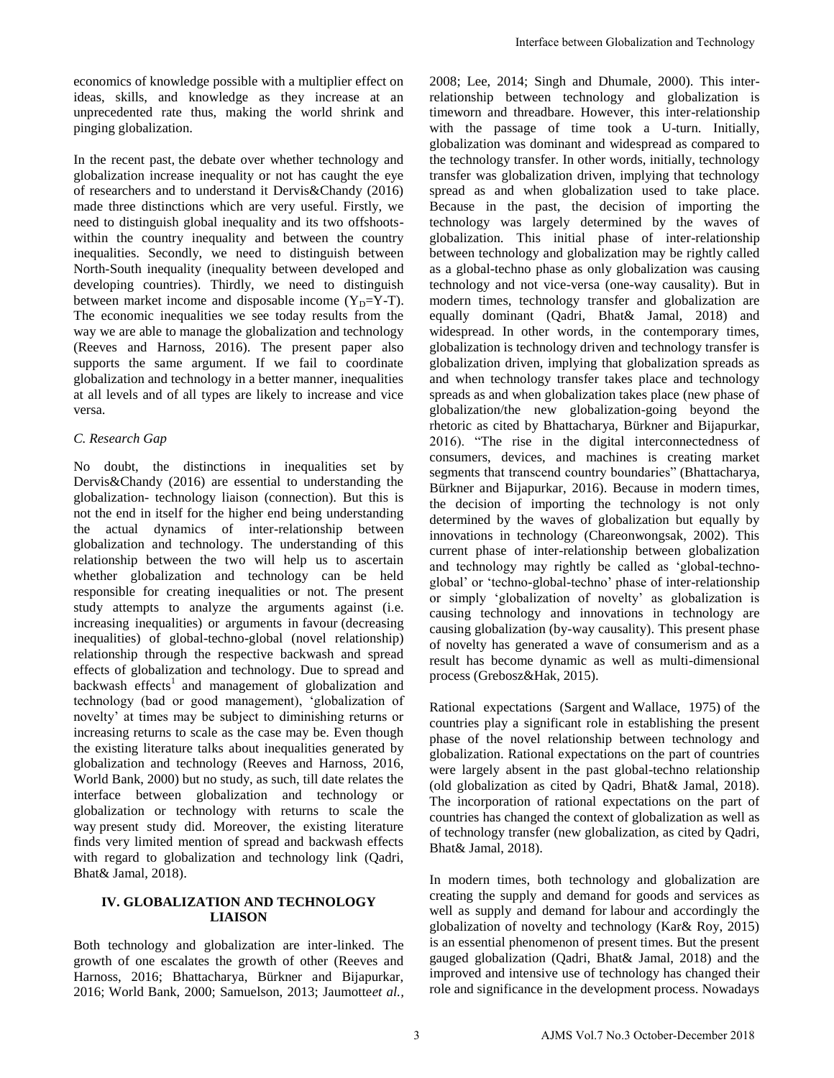economics of knowledge possible with a multiplier effect on ideas, skills, and knowledge as they increase at an unprecedented rate thus, making the world shrink and pinging globalization.

In the recent past, the debate over whether technology and globalization increase inequality or not has caught the eye of researchers and to understand it Dervis&Chandy (2016) made three distinctions which are very useful. Firstly, we need to distinguish global inequality and its two offshootswithin the country inequality and between the country inequalities. Secondly, we need to distinguish between North-South inequality (inequality between developed and developing countries). Thirdly, we need to distinguish between market income and disposable income  $(Y_D=Y-T)$ . The economic inequalities we see today results from the way we are able to manage the globalization and technology (Reeves and Harnoss, 2016). The present paper also supports the same argument. If we fail to coordinate globalization and technology in a better manner, inequalities at all levels and of all types are likely to increase and vice versa.

## *C. Research Gap*

No doubt, the distinctions in inequalities set by Dervis&Chandy (2016) are essential to understanding the globalization- technology liaison (connection). But this is not the end in itself for the higher end being understanding the actual dynamics of inter-relationship between globalization and technology. The understanding of this relationship between the two will help us to ascertain whether globalization and technology can be held responsible for creating inequalities or not. The present study attempts to analyze the arguments against (i.e. increasing inequalities) or arguments in favour (decreasing inequalities) of global-techno-global (novel relationship) relationship through the respective backwash and spread effects of globalization and technology. Due to spread and backwash effects<sup>1</sup> and management of globalization and technology (bad or good management), "globalization of novelty" at times may be subject to diminishing returns or increasing returns to scale as the case may be. Even though the existing literature talks about inequalities generated by globalization and technology (Reeves and Harnoss, 2016, World Bank, 2000) but no study, as such, till date relates the interface between globalization and technology or globalization or technology with returns to scale the way present study did. Moreover, the existing literature finds very limited mention of spread and backwash effects with regard to globalization and technology link (Qadri, Bhat& Jamal, 2018).

## **IV. GLOBALIZATION AND TECHNOLOGY LIAISON**

Both technology and globalization are inter-linked. The growth of one escalates the growth of other (Reeves and Harnoss, 2016; Bhattacharya, Bürkner and Bijapurkar, 2016; World Bank, 2000; Samuelson, 2013; Jaumotte*et al.,* 

2008; Lee, 2014; Singh and Dhumale, 2000). This interrelationship between technology and globalization is timeworn and threadbare. However, this inter-relationship with the passage of time took a U-turn. Initially, globalization was dominant and widespread as compared to the technology transfer. In other words, initially, technology transfer was globalization driven, implying that technology spread as and when globalization used to take place. Because in the past, the decision of importing the technology was largely determined by the waves of globalization. This initial phase of inter-relationship between technology and globalization may be rightly called as a global-techno phase as only globalization was causing technology and not vice-versa (one-way causality). But in modern times, technology transfer and globalization are equally dominant (Qadri, Bhat& Jamal, 2018) and widespread. In other words, in the contemporary times, globalization is technology driven and technology transfer is globalization driven, implying that globalization spreads as and when technology transfer takes place and technology spreads as and when globalization takes place (new phase of globalization/the new globalization-going beyond the rhetoric as cited by Bhattacharya, Bürkner and Bijapurkar, 2016). "The rise in the digital interconnectedness of consumers, devices, and machines is creating market segments that transcend country boundaries" (Bhattacharya, Bürkner and Bijapurkar, 2016). Because in modern times, the decision of importing the technology is not only determined by the waves of globalization but equally by innovations in technology (Chareonwongsak, 2002). This current phase of inter-relationship between globalization and technology may rightly be called as "global-technoglobal" or "techno-global-techno" phase of inter-relationship or simply "globalization of novelty" as globalization is causing technology and innovations in technology are causing globalization (by-way causality). This present phase of novelty has generated a wave of consumerism and as a result has become dynamic as well as multi-dimensional process (Grebosz&Hak, 2015). Interface between Globalization and Technology<br>
2008: Lee, 2014: Sinch and Dhumale, 2000, This inter-<br>
ministorion in the massage of time too the all allohalization is<br>
unitary the massage of time too the all allohalizatio

Rational expectations (Sargent and Wallace, 1975) of the countries play a significant role in establishing the present phase of the novel relationship between technology and globalization. Rational expectations on the part of countries were largely absent in the past global-techno relationship (old globalization as cited by Qadri, Bhat& Jamal, 2018). The incorporation of rational expectations on the part of countries has changed the context of globalization as well as of technology transfer (new globalization, as cited by Qadri, Bhat& Jamal, 2018).

In modern times, both technology and globalization are creating the supply and demand for goods and services as well as supply and demand for labour and accordingly the globalization of novelty and technology (Kar& Roy, 2015) is an essential phenomenon of present times. But the present gauged globalization (Qadri, Bhat& Jamal, 2018) and the improved and intensive use of technology has changed their role and significance in the development process. Nowadays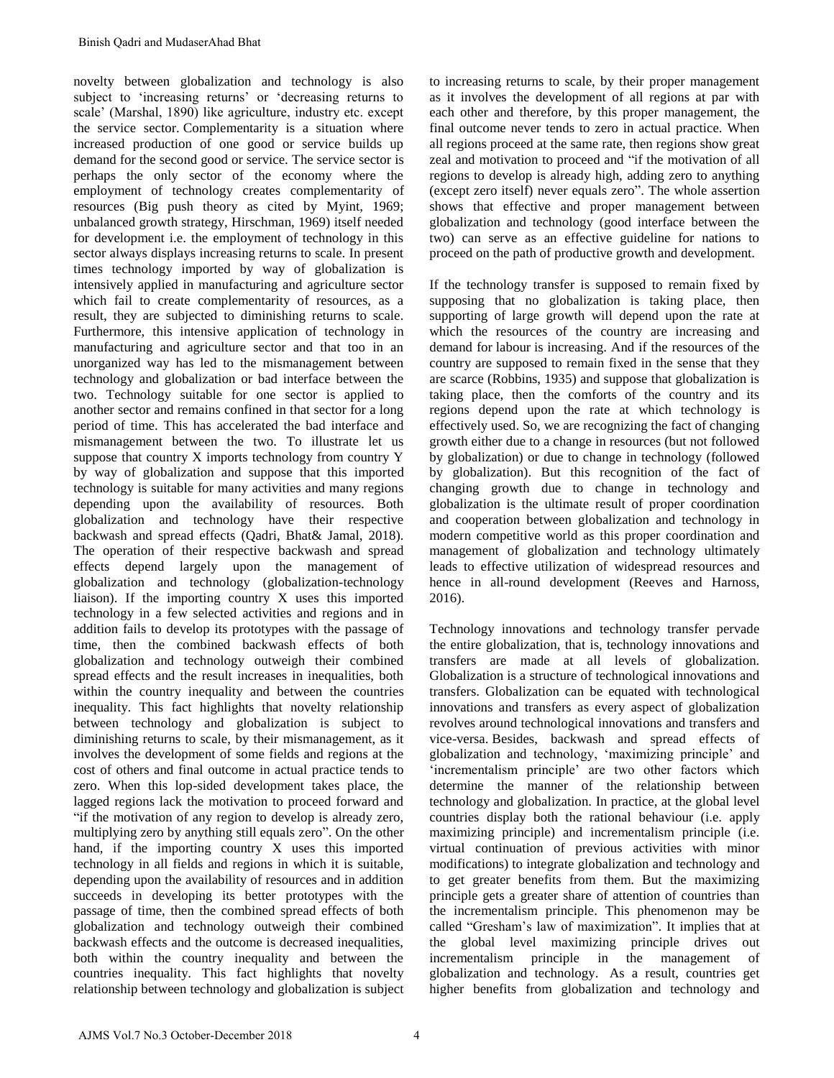novelty between globalization and technology is also subject to 'increasing returns' or 'decreasing returns to scale" (Marshal, 1890) like agriculture, industry etc. except the service sector. Complementarity is a situation where increased production of one good or service builds up demand for the second good or service. The service sector is perhaps the only sector of the economy where the employment of technology creates complementarity of resources (Big push theory as cited by Myint, 1969; unbalanced growth strategy, Hirschman, 1969) itself needed for development i.e. the employment of technology in this sector always displays increasing returns to scale. In present times technology imported by way of globalization is intensively applied in manufacturing and agriculture sector which fail to create complementarity of resources, as a result, they are subjected to diminishing returns to scale. Furthermore, this intensive application of technology in manufacturing and agriculture sector and that too in an unorganized way has led to the mismanagement between technology and globalization or bad interface between the two. Technology suitable for one sector is applied to another sector and remains confined in that sector for a long period of time. This has accelerated the bad interface and mismanagement between the two. To illustrate let us suppose that country X imports technology from country Y by way of globalization and suppose that this imported technology is suitable for many activities and many regions depending upon the availability of resources. Both globalization and technology have their respective backwash and spread effects (Qadri, Bhat& Jamal, 2018). The operation of their respective backwash and spread effects depend largely upon the management of globalization and technology (globalization-technology liaison). If the importing country X uses this imported technology in a few selected activities and regions and in addition fails to develop its prototypes with the passage of time, then the combined backwash effects of both globalization and technology outweigh their combined spread effects and the result increases in inequalities, both within the country inequality and between the countries inequality. This fact highlights that novelty relationship between technology and globalization is subject to diminishing returns to scale, by their mismanagement, as it involves the development of some fields and regions at the cost of others and final outcome in actual practice tends to zero. When this lop-sided development takes place, the lagged regions lack the motivation to proceed forward and "if the motivation of any region to develop is already zero, multiplying zero by anything still equals zero". On the other hand, if the importing country X uses this imported technology in all fields and regions in which it is suitable, depending upon the availability of resources and in addition succeeds in developing its better prototypes with the passage of time, then the combined spread effects of both globalization and technology outweigh their combined backwash effects and the outcome is decreased inequalities, both within the country inequality and between the countries inequality. This fact highlights that novelty relationship between technology and globalization is subject

to increasing returns to scale, by their proper management as it involves the development of all regions at par with each other and therefore, by this proper management, the final outcome never tends to zero in actual practice. When all regions proceed at the same rate, then regions show great zeal and motivation to proceed and "if the motivation of all regions to develop is already high, adding zero to anything (except zero itself) never equals zero". The whole assertion shows that effective and proper management between globalization and technology (good interface between the two) can serve as an effective guideline for nations to proceed on the path of productive growth and development.

If the technology transfer is supposed to remain fixed by supposing that no globalization is taking place, then supporting of large growth will depend upon the rate at which the resources of the country are increasing and demand for labour is increasing. And if the resources of the country are supposed to remain fixed in the sense that they are scarce (Robbins, 1935) and suppose that globalization is taking place, then the comforts of the country and its regions depend upon the rate at which technology is effectively used. So, we are recognizing the fact of changing growth either due to a change in resources (but not followed by globalization) or due to change in technology (followed by globalization). But this recognition of the fact of changing growth due to change in technology and globalization is the ultimate result of proper coordination and cooperation between globalization and technology in modern competitive world as this proper coordination and management of globalization and technology ultimately leads to effective utilization of widespread resources and hence in all-round development (Reeves and Harnoss, 2016).

Technology innovations and technology transfer pervade the entire globalization, that is, technology innovations and transfers are made at all levels of globalization. Globalization is a structure of technological innovations and transfers. Globalization can be equated with technological innovations and transfers as every aspect of globalization revolves around technological innovations and transfers and vice-versa. Besides, backwash and spread effects of globalization and technology, "maximizing principle" and 'incrementalism principle' are two other factors which determine the manner of the relationship between technology and globalization. In practice, at the global level countries display both the rational behaviour (i.e. apply maximizing principle) and incrementalism principle (i.e. virtual continuation of previous activities with minor modifications) to integrate globalization and technology and to get greater benefits from them. But the maximizing principle gets a greater share of attention of countries than the incrementalism principle. This phenomenon may be called "Gresham"s law of maximization". It implies that at the global level maximizing principle drives out incrementalism principle in the management of globalization and technology. As a result, countries get higher benefits from globalization and technology and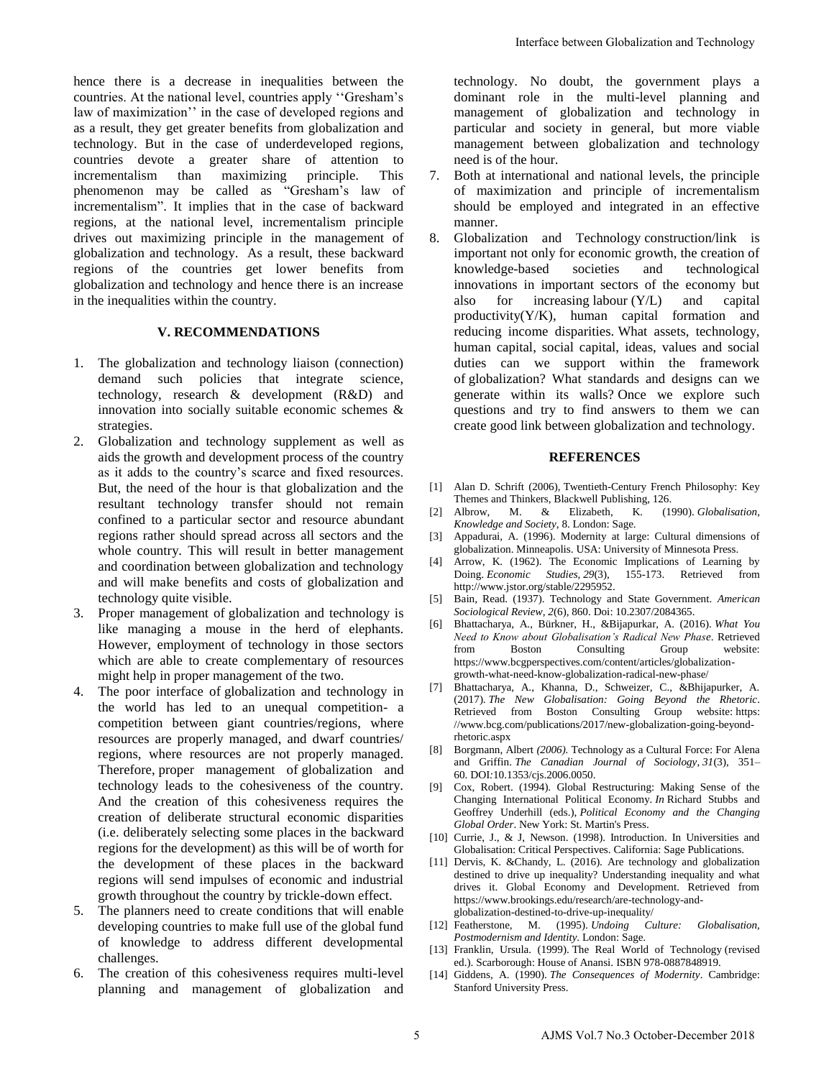hence there is a decrease in inequalities between the countries. At the national level, countries apply ""Gresham"s law of maximization" in the case of developed regions and as a result, they get greater benefits from globalization and technology. But in the case of underdeveloped regions, countries devote a greater share of attention to incrementalism than maximizing principle. This phenomenon may be called as "Gresham"s law of incrementalism". It implies that in the case of backward regions, at the national level, incrementalism principle drives out maximizing principle in the management of globalization and technology. As a result, these backward regions of the countries get lower benefits from globalization and technology and hence there is an increase in the inequalities within the country.

## **V. RECOMMENDATIONS**

- 1. The globalization and technology liaison (connection) demand such policies that integrate science, technology, research & development (R&D) and innovation into socially suitable economic schemes & strategies.
- 2. Globalization and technology supplement as well as aids the growth and development process of the country as it adds to the country"s scarce and fixed resources. But, the need of the hour is that globalization and the resultant technology transfer should not remain confined to a particular sector and resource abundant regions rather should spread across all sectors and the whole country. This will result in better management and coordination between globalization and technology and will make benefits and costs of globalization and technology quite visible.
- 3. Proper management of globalization and technology is like managing a mouse in the herd of elephants. However, employment of technology in those sectors which are able to create complementary of resources might help in proper management of the two.
- 4. The poor interface of globalization and technology in the world has led to an unequal competition- a competition between giant countries/regions, where resources are properly managed, and dwarf countries/ regions, where resources are not properly managed. Therefore, proper management of globalization and technology leads to the cohesiveness of the country. And the creation of this cohesiveness requires the creation of deliberate structural economic disparities (i.e. deliberately selecting some places in the backward regions for the development) as this will be of worth for the development of these places in the backward regions will send impulses of economic and industrial growth throughout the country by trickle-down effect.
- 5. The planners need to create conditions that will enable developing countries to make full use of the global fund of knowledge to address different developmental challenges.
- The creation of this cohesiveness requires multi-level planning and management of globalization and

technology. No doubt, the government plays a dominant role in the multi-level planning and management of globalization and technology in particular and society in general, but more viable management between globalization and technology need is of the hour.

- 7. Both at international and national levels, the principle of maximization and principle of incrementalism should be employed and integrated in an effective manner.
- 8. Globalization and Technology construction/link is important not only for economic growth, the creation of knowledge-based societies and technological innovations in important sectors of the economy but also for increasing labour (Y/L) and capital productivity(Y/K), human capital formation and reducing income disparities. What assets, technology, human capital, social capital, ideas, values and social duties can we support within the framework of globalization? What standards and designs can we generate within its walls? Once we explore such questions and try to find answers to them we can create good link between globalization and technology. Interface between Globalization and Technology<br>
technology<br>
technology<br>
technology<br>
technology<br>
technology<br>
technology<br>
technology<br>
technology<br>
technology<br>
parameter 1910s in the governant parameter and science in<br>the betw

## **REFERENCES**

- [1] Alan D. Schrift (2006), Twentieth-Century French Philosophy: Key Themes and Thinkers, Blackwell Publishing, 126.
- [2] Albrow, M. & Elizabeth, K. (1990). *Globalisation, Knowledge and Society*, 8. London: Sage.
- [3] Appadurai, A. (1996). Modernity at large: Cultural dimensions of globalization. Minneapolis. USA: University of Minnesota Press.
- [4] Arrow, K. (1962). The Economic Implications of Learning by Doing. *Economic Studies, 29*(3), 155-173. Retrieved from http://www.jstor.org/stable/2295952.
- [5] Bain, Read. (1937). Technology and State Government. *American Sociological Review, 2*(6), 860. Doi: 10.2307/2084365.
- [6] Bhattacharya, A., Bürkner, H., &Bijapurkar, A. (2016). *What You Need to Know about Globalisation's Radical New Phase*. Retrieved from Boston Consulting Group website: https://www.bcgperspectives.com/content/articles/globalizationgrowth-what-need-know-globalization-radical-new-phase/
- [7] Bhattacharya, A., Khanna, D., Schweizer, C., &Bhijapurker, A. (2017). *The New Globalisation: Going Beyond the Rhetoric*. Retrieved from Boston Consulting Group website[: https:](https://www.bcg.com/publications/2017/new-globalization-going-beyond-rhetoric.aspx)  [//www.bcg.com/publications/2017/new-globalization-going-beyond](https://www.bcg.com/publications/2017/new-globalization-going-beyond-rhetoric.aspx)[rhetoric.aspx](https://www.bcg.com/publications/2017/new-globalization-going-beyond-rhetoric.aspx)
- [8] Borgmann, Albert *(2006).* Technology as a Cultural Force: For Alena and Griffin. *The Canadian Journal of Sociology, 31*(3), 351– 60. DOI*:*10.1353/cjs.2006.0050.
- [9] Cox, Robert. (1994). Global Restructuring: Making Sense of the Changing International Political Economy. *In* Richard Stubbs and Geoffrey Underhill (eds.), *Political Economy and the Changing Global Order*. New York: St. Martin's Press.
- [10] Currie, J., & J. Newson. (1998). Introduction. In Universities and Globalisation: Critical Perspectives. California: Sage Publications.
- [11] Dervis, K. &Chandy, L. (2016). Are technology and globalization destined to drive up inequality? Understanding inequality and what drives it. Global Economy and Development. Retrieved from https://www.brookings.edu/research/are-technology-andglobalization-destined-to-drive-up-inequality/
- [12] Featherstone, M. (1995). *Undoing Culture: Globalisation, Postmodernism and Identity*. London: Sage.
- [13] Franklin, Ursula. (1999). The Real World of Technology (revised ed.). Scarborough: House of Anansi. ISBN 978-0887848919.
- [14] Giddens, A. (1990). *The Consequences of Modernity*. Cambridge: Stanford University Press.